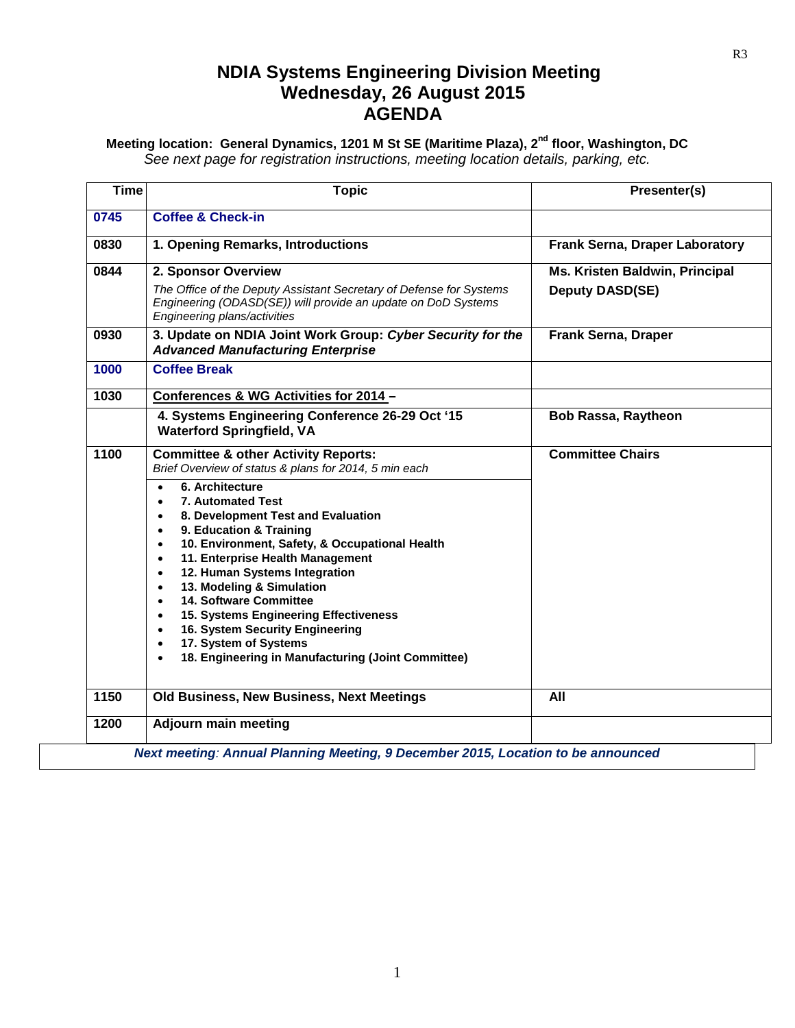# **NDIA Systems Engineering Division Meeting Wednesday, 26 August 2015 AGENDA**

**Meeting location: General Dynamics, 1201 M St SE (Maritime Plaza), 2nd floor, Washington, DC** *See next page for registration instructions, meeting location details, parking, etc.*

| <b>Time</b> | <b>Topic</b>                                                                                                                                                                                                                                                                                                                                                                                                                                                                                                                                                                                                                                   | Presenter(s)                                             |
|-------------|------------------------------------------------------------------------------------------------------------------------------------------------------------------------------------------------------------------------------------------------------------------------------------------------------------------------------------------------------------------------------------------------------------------------------------------------------------------------------------------------------------------------------------------------------------------------------------------------------------------------------------------------|----------------------------------------------------------|
| 0745        | <b>Coffee &amp; Check-in</b>                                                                                                                                                                                                                                                                                                                                                                                                                                                                                                                                                                                                                   |                                                          |
| 0830        | 1. Opening Remarks, Introductions                                                                                                                                                                                                                                                                                                                                                                                                                                                                                                                                                                                                              | <b>Frank Serna, Draper Laboratory</b>                    |
| 0844        | 2. Sponsor Overview<br>The Office of the Deputy Assistant Secretary of Defense for Systems<br>Engineering (ODASD(SE)) will provide an update on DoD Systems<br>Engineering plans/activities                                                                                                                                                                                                                                                                                                                                                                                                                                                    | Ms. Kristen Baldwin, Principal<br><b>Deputy DASD(SE)</b> |
| 0930        | 3. Update on NDIA Joint Work Group: Cyber Security for the<br><b>Advanced Manufacturing Enterprise</b>                                                                                                                                                                                                                                                                                                                                                                                                                                                                                                                                         | <b>Frank Serna, Draper</b>                               |
| 1000        | <b>Coffee Break</b>                                                                                                                                                                                                                                                                                                                                                                                                                                                                                                                                                                                                                            |                                                          |
| 1030        | Conferences & WG Activities for 2014 -                                                                                                                                                                                                                                                                                                                                                                                                                                                                                                                                                                                                         |                                                          |
|             | 4. Systems Engineering Conference 26-29 Oct '15<br><b>Waterford Springfield, VA</b>                                                                                                                                                                                                                                                                                                                                                                                                                                                                                                                                                            | <b>Bob Rassa, Raytheon</b>                               |
| 1100        | <b>Committee &amp; other Activity Reports:</b><br>Brief Overview of status & plans for 2014, 5 min each<br>6. Architecture<br>7. Automated Test<br>8. Development Test and Evaluation<br>9. Education & Training<br>$\bullet$<br>10. Environment, Safety, & Occupational Health<br>$\bullet$<br>11. Enterprise Health Management<br>$\bullet$<br>12. Human Systems Integration<br>$\bullet$<br>13. Modeling & Simulation<br><b>14. Software Committee</b><br>15. Systems Engineering Effectiveness<br>$\bullet$<br>16. System Security Engineering<br>$\bullet$<br>17. System of Systems<br>18. Engineering in Manufacturing (Joint Committee) | <b>Committee Chairs</b>                                  |
| 1150        | Old Business, New Business, Next Meetings                                                                                                                                                                                                                                                                                                                                                                                                                                                                                                                                                                                                      | All                                                      |
| 1200        | <b>Adjourn main meeting</b>                                                                                                                                                                                                                                                                                                                                                                                                                                                                                                                                                                                                                    |                                                          |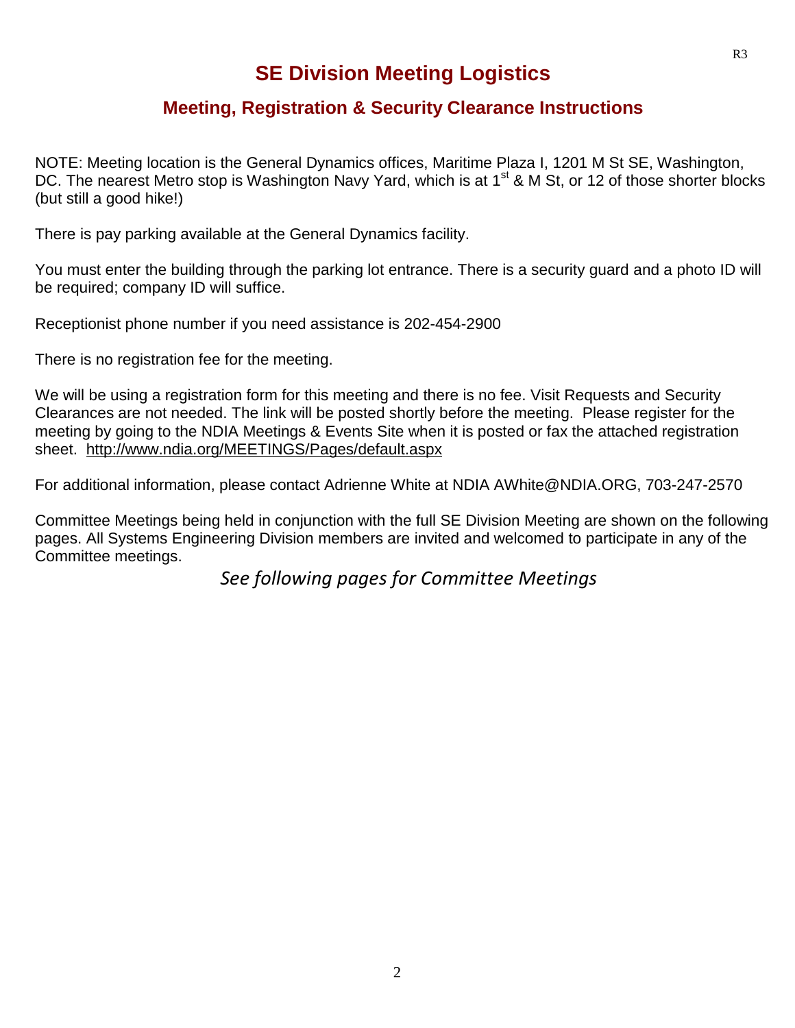# **SE Division Meeting Logistics**

## **Meeting, Registration & Security Clearance Instructions**

NOTE: Meeting location is the General Dynamics offices, Maritime Plaza I, 1201 M St SE, Washington, DC. The nearest Metro stop is Washington Navy Yard, which is at  $1<sup>st</sup>$  & M St, or 12 of those shorter blocks (but still a good hike!)

There is pay parking available at the General Dynamics facility.

You must enter the building through the parking lot entrance. There is a security guard and a photo ID will be required; company ID will suffice.

Receptionist phone number if you need assistance is 202-454-2900

There is no registration fee for the meeting.

We will be using a registration form for this meeting and there is no fee. Visit Requests and Security Clearances are not needed. The link will be posted shortly before the meeting. Please register for the meeting by going to the NDIA Meetings & Events Site when it is posted or fax the attached registration sheet. <http://www.ndia.org/MEETINGS/Pages/default.aspx>

For additional information, please contact Adrienne White at NDIA AWhite@NDIA.ORG, 703-247-2570

Committee Meetings being held in conjunction with the full SE Division Meeting are shown on the following pages. All Systems Engineering Division members are invited and welcomed to participate in any of the Committee meetings.

*See following pages for Committee Meetings*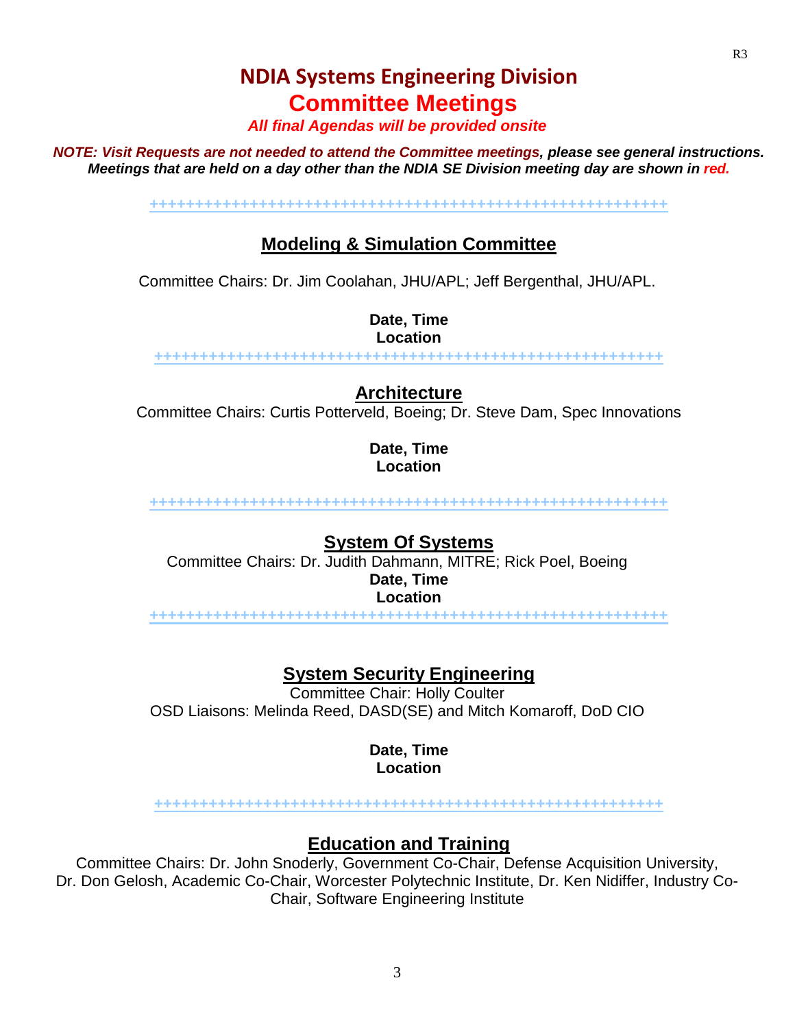# **NDIA Systems Engineering Division Committee Meetings**

*All final Agendas will be provided onsite*

*NOTE: Visit Requests are not needed to attend the Committee meetings, please see general instructions. Meetings that are held on a day other than the NDIA SE Division meeting day are shown in red.*

**+++++++++++++++++++++++++++++++++++++++++++++++++++++++++**

# **Modeling & Simulation Committee**

Committee Chairs: Dr. Jim Coolahan, JHU/APL; Jeff Bergenthal, JHU/APL.

**Date, Time Location**

**++++++++++++++++++++++++++++++++++++++++++++++++++++++++**

## **Architecture**

Committee Chairs: Curtis Potterveld, Boeing; Dr. Steve Dam, Spec Innovations

**Date, Time Location**

**+++++++++++++++++++++++++++++++++++++++++++++++++++++++++**

### **System Of Systems**

Committee Chairs: Dr. Judith Dahmann, MITRE; Rick Poel, Boeing **Date, Time Location**

**+++++++++++++++++++++++++++++++++++++++++++++++++++++++++**

**System Security Engineering**

Committee Chair: Holly Coulter OSD Liaisons: Melinda Reed, DASD(SE) and Mitch Komaroff, DoD CIO

> **Date, Time Location**

**++++++++++++++++++++++++++++++++++++++++++++++++++++++++**

## **Education and Training**

Committee Chairs: Dr. John Snoderly, Government Co-Chair, Defense Acquisition University, Dr. Don Gelosh, Academic Co-Chair, Worcester Polytechnic Institute, Dr. Ken Nidiffer, Industry Co-Chair, Software Engineering Institute